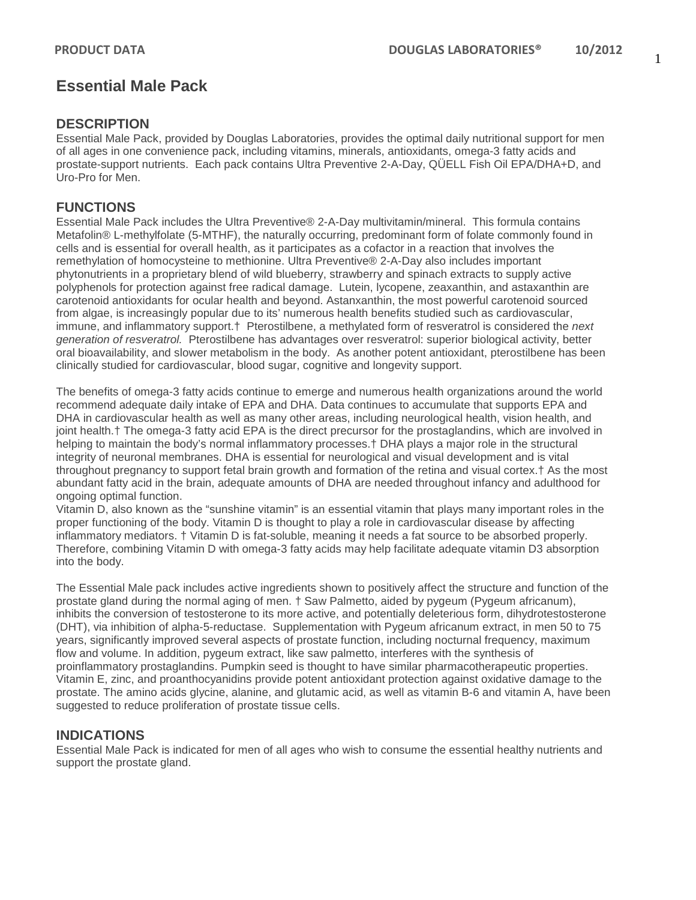# **Essential Male Pack**

## **DESCRIPTION**

Essential Male Pack, provided by Douglas Laboratories, provides the optimal daily nutritional support for men of all ages in one convenience pack, including vitamins, minerals, antioxidants, omega-3 fatty acids and prostate-support nutrients. Each pack contains Ultra Preventive 2-A-Day, QÜELL Fish Oil EPA/DHA+D, and Uro-Pro for Men.

## **FUNCTIONS**

Essential Male Pack includes the Ultra Preventive® 2-A-Day multivitamin/mineral. This formula contains Metafolin® L-methylfolate (5-MTHF), the naturally occurring, predominant form of folate commonly found in cells and is essential for overall health, as it participates as a cofactor in a reaction that involves the remethylation of homocysteine to methionine. Ultra Preventive® 2-A-Day also includes important phytonutrients in a proprietary blend of wild blueberry, strawberry and spinach extracts to supply active polyphenols for protection against free radical damage. Lutein, lycopene, zeaxanthin, and astaxanthin are carotenoid antioxidants for ocular health and beyond. Astanxanthin, the most powerful carotenoid sourced from algae, is increasingly popular due to its' numerous health benefits studied such as cardiovascular, immune, and inflammatory support.† Pterostilbene, a methylated form of resveratrol is considered the *next generation of resveratrol.* Pterostilbene has advantages over resveratrol: superior biological activity, better oral bioavailability, and slower metabolism in the body. As another potent antioxidant, pterostilbene has been clinically studied for cardiovascular, blood sugar, cognitive and longevity support.

The benefits of omega-3 fatty acids continue to emerge and numerous health organizations around the world recommend adequate daily intake of EPA and DHA. Data continues to accumulate that supports EPA and DHA in cardiovascular health as well as many other areas, including neurological health, vision health, and joint health.† The omega-3 fatty acid EPA is the direct precursor for the prostaglandins, which are involved in helping to maintain the body's normal inflammatory processes.† DHA plays a major role in the structural integrity of neuronal membranes. DHA is essential for neurological and visual development and is vital throughout pregnancy to support fetal brain growth and formation of the retina and visual cortex.† As the most abundant fatty acid in the brain, adequate amounts of DHA are needed throughout infancy and adulthood for ongoing optimal function.

Vitamin D, also known as the "sunshine vitamin" is an essential vitamin that plays many important roles in the proper functioning of the body. Vitamin D is thought to play a role in cardiovascular disease by affecting inflammatory mediators. † Vitamin D is fat-soluble, meaning it needs a fat source to be absorbed properly. Therefore, combining Vitamin D with omega-3 fatty acids may help facilitate adequate vitamin D3 absorption into the body.

The Essential Male pack includes active ingredients shown to positively affect the structure and function of the prostate gland during the normal aging of men. † Saw Palmetto, aided by pygeum (Pygeum africanum), inhibits the conversion of testosterone to its more active, and potentially deleterious form, dihydrotestosterone (DHT), via inhibition of alpha-5-reductase. Supplementation with Pygeum africanum extract, in men 50 to 75 years, significantly improved several aspects of prostate function, including nocturnal frequency, maximum flow and volume. In addition, pygeum extract, like saw palmetto, interferes with the synthesis of proinflammatory prostaglandins. Pumpkin seed is thought to have similar pharmacotherapeutic properties. Vitamin E, zinc, and proanthocyanidins provide potent antioxidant protection against oxidative damage to the prostate. The amino acids glycine, alanine, and glutamic acid, as well as vitamin B-6 and vitamin A, have been suggested to reduce proliferation of prostate tissue cells.

## **INDICATIONS**

Essential Male Pack is indicated for men of all ages who wish to consume the essential healthy nutrients and support the prostate gland.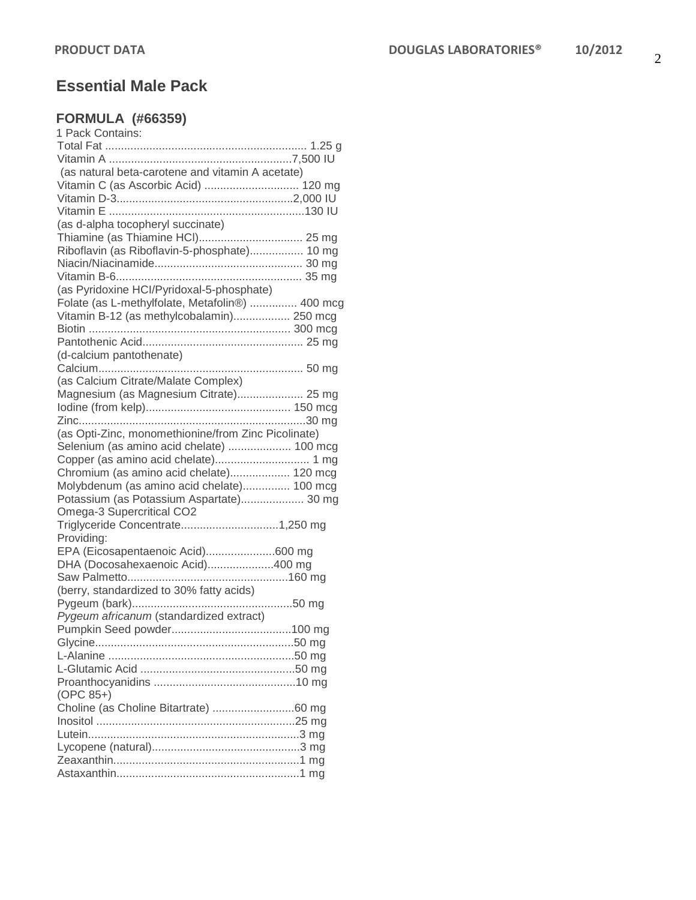# **Essential Male Pack**

## **FORMULA (#66359)**

| 1 Pack Contains:                                                                       |  |
|----------------------------------------------------------------------------------------|--|
|                                                                                        |  |
|                                                                                        |  |
| (as natural beta-carotene and vitamin A acetate)                                       |  |
| Vitamin C (as Ascorbic Acid)  120 mg                                                   |  |
|                                                                                        |  |
|                                                                                        |  |
| (as d-alpha tocopheryl succinate)                                                      |  |
|                                                                                        |  |
| Riboflavin (as Riboflavin-5-phosphate) 10 mg                                           |  |
|                                                                                        |  |
|                                                                                        |  |
| (as Pyridoxine HCI/Pyridoxal-5-phosphate)                                              |  |
| Folate (as L-methylfolate, Metafolin®)  400 mcg                                        |  |
| Vitamin B-12 (as methylcobalamin) 250 mcg                                              |  |
|                                                                                        |  |
|                                                                                        |  |
| (d-calcium pantothenate)                                                               |  |
|                                                                                        |  |
| (as Calcium Citrate/Malate Complex)                                                    |  |
| Magnesium (as Magnesium Citrate) 25 mg                                                 |  |
|                                                                                        |  |
|                                                                                        |  |
| (as Opti-Zinc, monomethionine/from Zinc Picolinate)                                    |  |
| Selenium (as amino acid chelate)  100 mcg                                              |  |
|                                                                                        |  |
|                                                                                        |  |
| Chromium (as amino acid chelate) 120 mcg<br>Molybdenum (as amino acid chelate) 100 mcg |  |
|                                                                                        |  |
| Potassium (as Potassium Aspartate) 30 mg                                               |  |
| Omega-3 Supercritical CO2<br>Triglyceride Concentrate1,250 mg                          |  |
|                                                                                        |  |
| Providing:                                                                             |  |
| EPA (Eicosapentaenoic Acid)600 mg                                                      |  |
| DHA (Docosahexaenoic Acid)400 mg                                                       |  |
|                                                                                        |  |
| (berry, standardized to 30% fatty acids)                                               |  |
|                                                                                        |  |
| Pygeum africanum (standardized extract)                                                |  |
|                                                                                        |  |
|                                                                                        |  |
|                                                                                        |  |
|                                                                                        |  |
| (OPC 85+)                                                                              |  |
| Choline (as Choline Bitartrate) 60 mg                                                  |  |
|                                                                                        |  |
|                                                                                        |  |
|                                                                                        |  |
|                                                                                        |  |
|                                                                                        |  |
|                                                                                        |  |